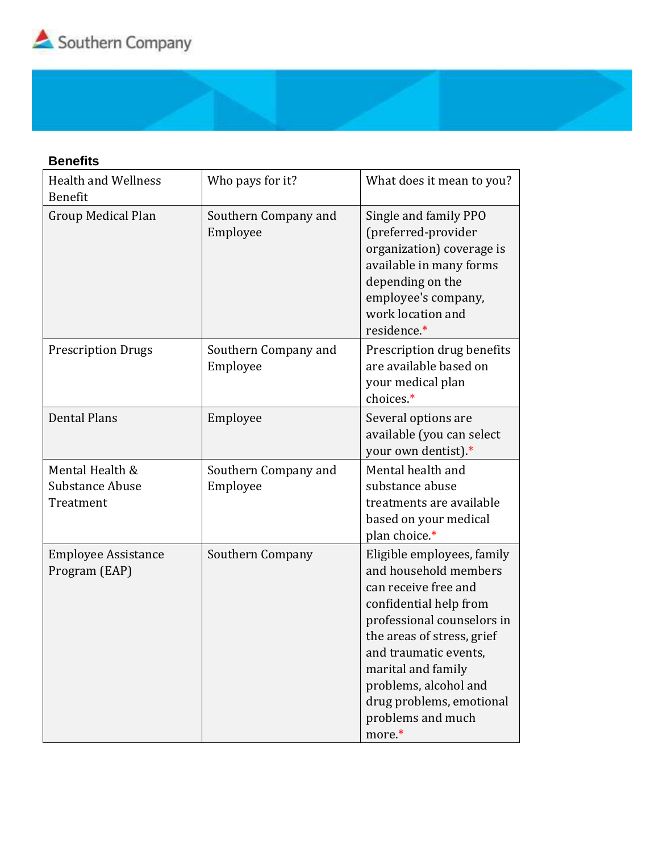

| <b>Benefits</b>                                 |                                  |                                                                                                                                                                                                                                                                                                      |
|-------------------------------------------------|----------------------------------|------------------------------------------------------------------------------------------------------------------------------------------------------------------------------------------------------------------------------------------------------------------------------------------------------|
| <b>Health and Wellness</b><br>Benefit           | Who pays for it?                 | What does it mean to you?                                                                                                                                                                                                                                                                            |
| <b>Group Medical Plan</b>                       | Southern Company and<br>Employee | Single and family PPO<br>(preferred-provider<br>organization) coverage is<br>available in many forms<br>depending on the<br>employee's company,<br>work location and<br>residence.*                                                                                                                  |
| <b>Prescription Drugs</b>                       | Southern Company and<br>Employee | Prescription drug benefits<br>are available based on<br>your medical plan<br>choices.*                                                                                                                                                                                                               |
| <b>Dental Plans</b>                             | Employee                         | Several options are<br>available (you can select<br>your own dentist).*                                                                                                                                                                                                                              |
| Mental Health &<br>Substance Abuse<br>Treatment | Southern Company and<br>Employee | Mental health and<br>substance abuse<br>treatments are available<br>based on your medical<br>plan choice.*                                                                                                                                                                                           |
| <b>Employee Assistance</b><br>Program (EAP)     | Southern Company                 | Eligible employees, family<br>and household members<br>can receive free and<br>confidential help from<br>professional counselors in<br>the areas of stress, grief<br>and traumatic events,<br>marital and family<br>problems, alcohol and<br>drug problems, emotional<br>problems and much<br>more.* |

 $\sim$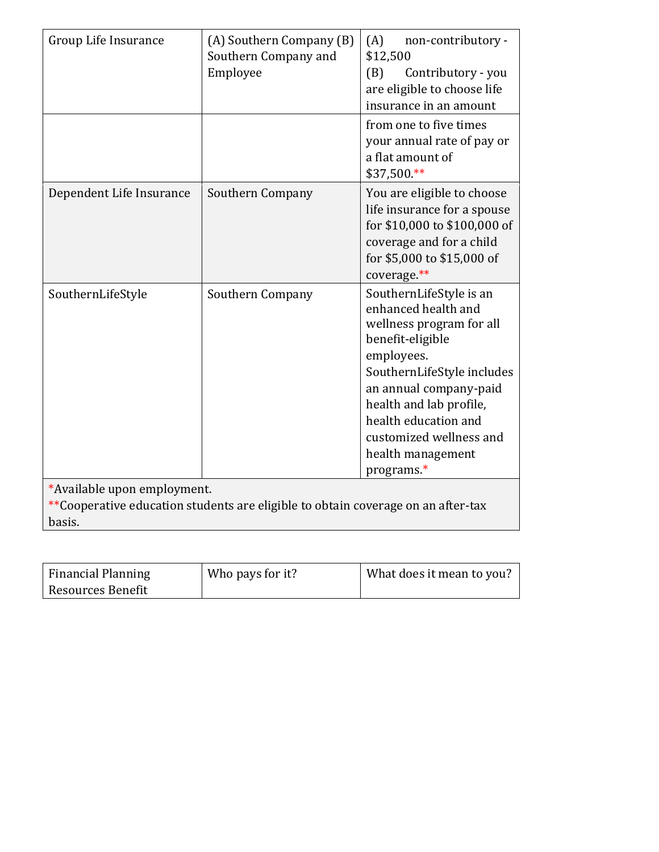| Group Life Insurance        | (A) Southern Company (B)<br>Southern Company and<br>Employee                      | (A)<br>non-contributory -<br>\$12,500<br>(B)<br>Contributory - you<br>are eligible to choose life<br>insurance in an amount                                                                                                                                                                      |
|-----------------------------|-----------------------------------------------------------------------------------|--------------------------------------------------------------------------------------------------------------------------------------------------------------------------------------------------------------------------------------------------------------------------------------------------|
|                             |                                                                                   | from one to five times<br>your annual rate of pay or<br>a flat amount of<br>\$37,500.**                                                                                                                                                                                                          |
| Dependent Life Insurance    | Southern Company                                                                  | You are eligible to choose<br>life insurance for a spouse<br>for \$10,000 to \$100,000 of<br>coverage and for a child<br>for \$5,000 to \$15,000 of<br>coverage.**                                                                                                                               |
| SouthernLifeStyle           | Southern Company                                                                  | SouthernLifeStyle is an<br>enhanced health and<br>wellness program for all<br>benefit-eligible<br>employees.<br>SouthernLifeStyle includes<br>an annual company-paid<br>health and lab profile,<br>health education and<br>customized wellness and<br>health management<br>programs <sup>*</sup> |
| *Available upon employment. |                                                                                   |                                                                                                                                                                                                                                                                                                  |
| basis.                      | ** Cooperative education students are eligible to obtain coverage on an after-tax |                                                                                                                                                                                                                                                                                                  |
|                             |                                                                                   |                                                                                                                                                                                                                                                                                                  |

| <b>Financial Planning</b> | Who pays for it? | What does it mean to you? |
|---------------------------|------------------|---------------------------|
| Resources Benefit         |                  |                           |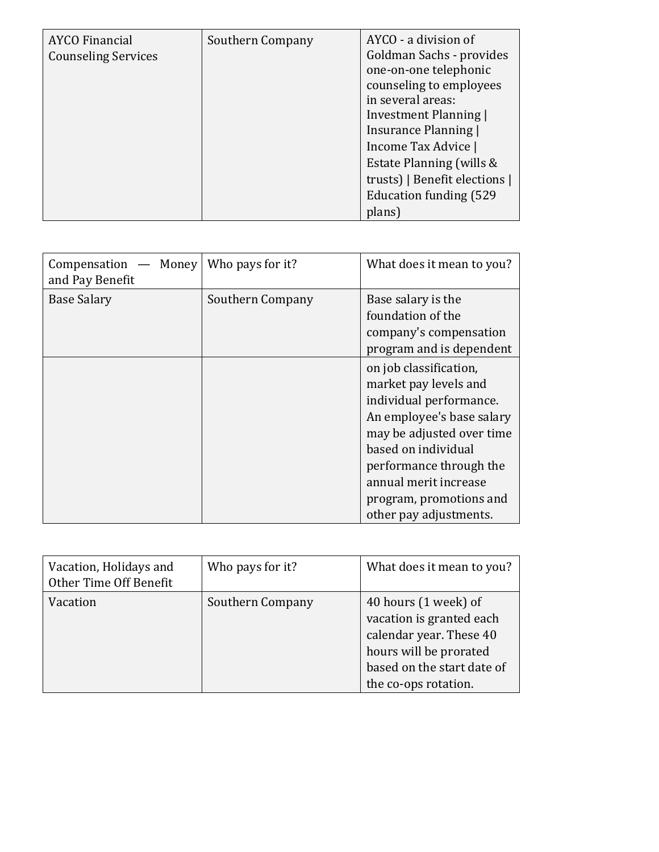| <b>AYCO</b> Financial      | Southern Company | AYCO - a division of           |
|----------------------------|------------------|--------------------------------|
| <b>Counseling Services</b> |                  | Goldman Sachs - provides       |
|                            |                  | one-on-one telephonic          |
|                            |                  | counseling to employees        |
|                            |                  | in several areas:              |
|                            |                  | Investment Planning            |
|                            |                  | Insurance Planning             |
|                            |                  | Income Tax Advice              |
|                            |                  | Estate Planning (wills &       |
|                            |                  | trusts)   Benefit elections    |
|                            |                  | <b>Education funding (529)</b> |
|                            |                  | plans)                         |

| — Money<br>Compensation<br>and Pay Benefit | Who pays for it? | What does it mean to you?                                                                                                                                                                                                                                            |
|--------------------------------------------|------------------|----------------------------------------------------------------------------------------------------------------------------------------------------------------------------------------------------------------------------------------------------------------------|
| <b>Base Salary</b>                         | Southern Company | Base salary is the<br>foundation of the<br>company's compensation<br>program and is dependent                                                                                                                                                                        |
|                                            |                  | on job classification,<br>market pay levels and<br>individual performance.<br>An employee's base salary<br>may be adjusted over time<br>based on individual<br>performance through the<br>annual merit increase<br>program, promotions and<br>other pay adjustments. |

| Vacation, Holidays and<br>Other Time Off Benefit | Who pays for it? | What does it mean to you?                                                                                                                                   |
|--------------------------------------------------|------------------|-------------------------------------------------------------------------------------------------------------------------------------------------------------|
| Vacation                                         | Southern Company | 40 hours (1 week) of<br>vacation is granted each<br>calendar year. These 40<br>hours will be prorated<br>based on the start date of<br>the co-ops rotation. |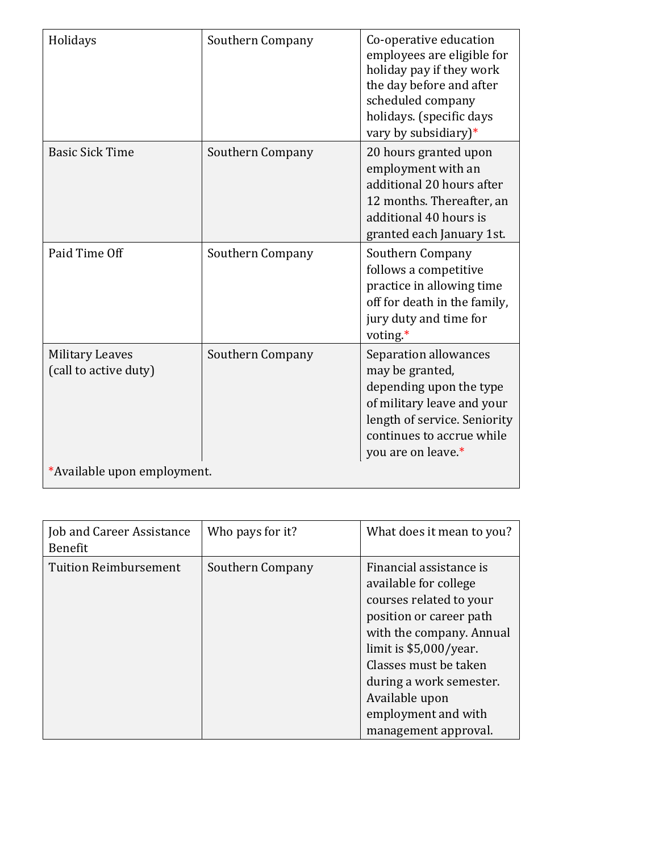| Holidays                                        | Southern Company | Co-operative education<br>employees are eligible for<br>holiday pay if they work<br>the day before and after<br>scheduled company<br>holidays. (specific days<br>vary by subsidiary)* |
|-------------------------------------------------|------------------|---------------------------------------------------------------------------------------------------------------------------------------------------------------------------------------|
| <b>Basic Sick Time</b>                          | Southern Company | 20 hours granted upon<br>employment with an<br>additional 20 hours after<br>12 months. Thereafter, an<br>additional 40 hours is<br>granted each January 1st.                          |
| Paid Time Off                                   | Southern Company | Southern Company<br>follows a competitive<br>practice in allowing time<br>off for death in the family,<br>jury duty and time for<br>voting. $*$                                       |
| <b>Military Leaves</b><br>(call to active duty) | Southern Company | Separation allowances<br>may be granted,<br>depending upon the type<br>of military leave and your<br>length of service. Seniority<br>continues to accrue while<br>you are on leave.*  |
| *Available upon employment.                     |                  |                                                                                                                                                                                       |

| Job and Career Assistance<br>Benefit | Who pays for it? | What does it mean to you?                                                                                                                                                                                                                                                           |
|--------------------------------------|------------------|-------------------------------------------------------------------------------------------------------------------------------------------------------------------------------------------------------------------------------------------------------------------------------------|
| <b>Tuition Reimbursement</b>         | Southern Company | Financial assistance is<br>available for college<br>courses related to your<br>position or career path<br>with the company. Annual<br>limit is $$5,000/year$ .<br>Classes must be taken<br>during a work semester.<br>Available upon<br>employment and with<br>management approval. |

L